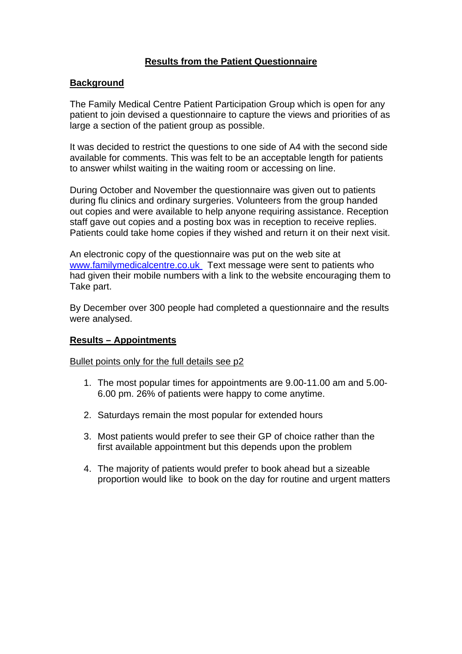# **Results from the Patient Questionnaire**

### **Background**

The Family Medical Centre Patient Participation Group which is open for any patient to join devised a questionnaire to capture the views and priorities of as large a section of the patient group as possible.

It was decided to restrict the questions to one side of A4 with the second side available for comments. This was felt to be an acceptable length for patients to answer whilst waiting in the waiting room or accessing on line.

During October and November the questionnaire was given out to patients during flu clinics and ordinary surgeries. Volunteers from the group handed out copies and were available to help anyone requiring assistance. Reception staff gave out copies and a posting box was in reception to receive replies. Patients could take home copies if they wished and return it on their next visit.

An electronic copy of the questionnaire was put on the web site at [www.familymedicalcentre.co.uk](http://www.familymedicalcentre.co.uk/) Text message were sent to patients who had given their mobile numbers with a link to the website encouraging them to Take part.

By December over 300 people had completed a questionnaire and the results were analysed.

### **Results – Appointments**

### Bullet points only for the full details see p2

- 1. The most popular times for appointments are 9.00-11.00 am and 5.00- 6.00 pm. 26% of patients were happy to come anytime.
- 2. Saturdays remain the most popular for extended hours
- 3. Most patients would prefer to see their GP of choice rather than the first available appointment but this depends upon the problem
- 4. The majority of patients would prefer to book ahead but a sizeable proportion would like to book on the day for routine and urgent matters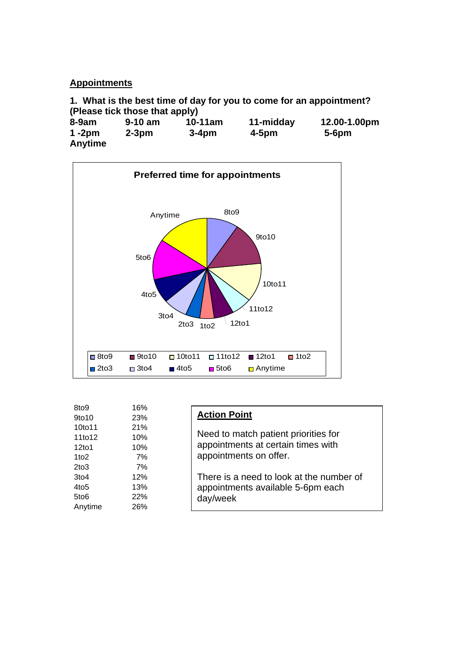## **Appointments**

**1. What is the best time of day for you to come for an appointment? (Please tick those that apply)** 

| $8-9am$                     | $9-10$ am | $10-11am$ | 11-midday | 12.00-1.00pm |
|-----------------------------|-----------|-----------|-----------|--------------|
| $1 - 2pm$<br><b>Anytime</b> | $2-3pm$   | $3-4pm$   | $4-5pm$   | $5-6$ pm     |



| 8to9             | 16% |                                          |
|------------------|-----|------------------------------------------|
| 9to10            | 23% | <b>Action Point</b>                      |
| 10to11           | 21% |                                          |
| 11to12           | 10% | Need to match patient priorities for     |
| 12to1            | 10% | appointments at certain times with       |
| 1 <sub>to2</sub> | 7%  | appointments on offer.                   |
| $2$ to $3$       | 7%  |                                          |
| 3to4             | 12% | There is a need to look at the number of |
| 4to <sub>5</sub> | 13% | appointments available 5-6pm each        |
| 5to <sub>6</sub> | 22% | day/week                                 |
| Anytime          | 26% |                                          |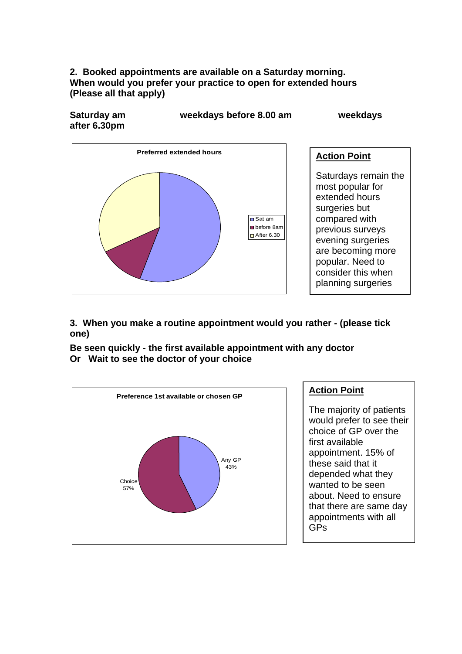## **2. Booked appointments are available on a Saturday morning. When would you prefer your practice to open for extended hours (Please all that apply)**

**after 6.30pm** 

**Saturday am weekdays before 8.00 am weekdays** 



# **Action Point** Saturdays remain the most popular for extended hours surgeries but compared with previous surveys evening surgeries are becoming more popular. Need to consider this when planning surgeries

**3. When you make a routine appointment would you rather - (please tick one)** 

**Be seen quickly - the first available appointment with any doctor Or Wait to see the doctor of your choice** 



# **Action Point**

The majority of patients would prefer to see their choice of GP over the first available appointment. 15% of these said that it depended what they wanted to be seen about. Need to ensure that there are same day appointments with all GPs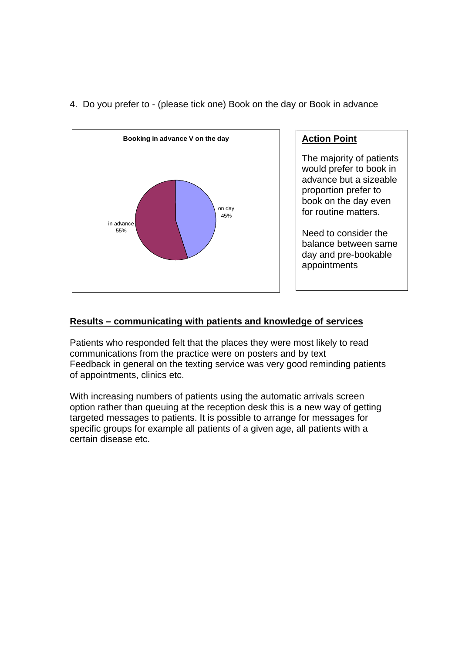

4. Do you prefer to - (please tick one) Book on the day or Book in advance

# **Action Point**

The majority of patients would prefer to book in advance but a sizeable proportion prefer to book on the day even for routine matters.

Need to consider the balance between same day and pre-bookable appointments

# **Results – communicating with patients and knowledge of services**

Patients who responded felt that the places they were most likely to read communications from the practice were on posters and by text Feedback in general on the texting service was very good reminding patients of appointments, clinics etc.

With increasing numbers of patients using the automatic arrivals screen option rather than queuing at the reception desk this is a new way of getting targeted messages to patients. It is possible to arrange for messages for specific groups for example all patients of a given age, all patients with a certain disease etc.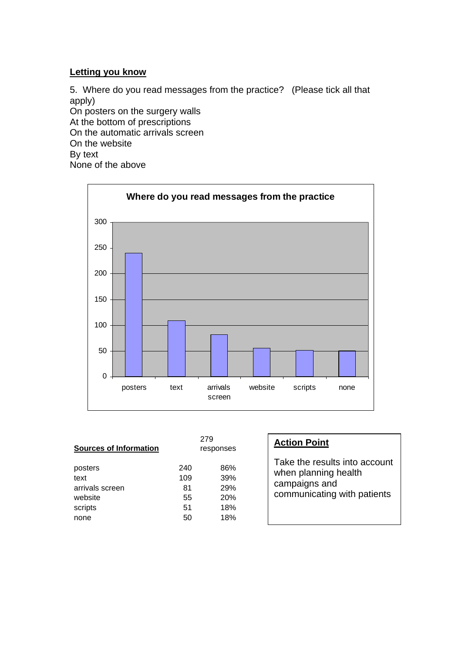### **Letting you know**

5. Where do you read messages from the practice? (Please tick all that apply) On posters on the surgery walls At the bottom of prescriptions On the automatic arrivals screen On the website By text None of the above



| <b>Sources of Information</b>                                    | 279<br>responses                   |                                        | <b>Action Poi</b>                                   |  |
|------------------------------------------------------------------|------------------------------------|----------------------------------------|-----------------------------------------------------|--|
| posters<br>text<br>arrivals screen<br>website<br>scripts<br>none | 240<br>109<br>81<br>55<br>51<br>50 | 86%<br>39%<br>29%<br>20%<br>18%<br>18% | Take the re<br>when plann<br>campaigns<br>communica |  |

# <u>nt</u>

sults into account ning health and ating with patients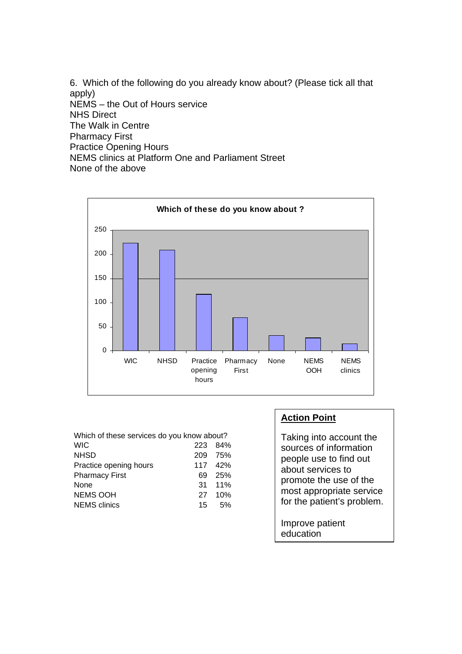6. Which of the following do you already know about? (Please tick all that apply) NEMS – the Out of Hours service NHS Direct The Walk in Centre Pharmacy First Practice Opening Hours NEMS clinics at Platform One and Parliament Street None of the above



| Which of these services do you know about? |     |                 |  |  |
|--------------------------------------------|-----|-----------------|--|--|
| <b>WIC</b>                                 | 223 | - 84%           |  |  |
| <b>NHSD</b>                                |     | 209 75%         |  |  |
| Practice opening hours                     |     | 117 42%         |  |  |
| <b>Pharmacy First</b>                      | 69  | 25%             |  |  |
| None                                       |     | $31 \quad 11\%$ |  |  |
| <b>NEMS OOH</b>                            | 27  | 10%             |  |  |
| <b>NEMS</b> clinics                        | 15  | 5%              |  |  |

# **Action Point**

Taking into account the sources of information people use to find out about services to promote the use of the most appropriate service for the patient's problem.

Improve patient education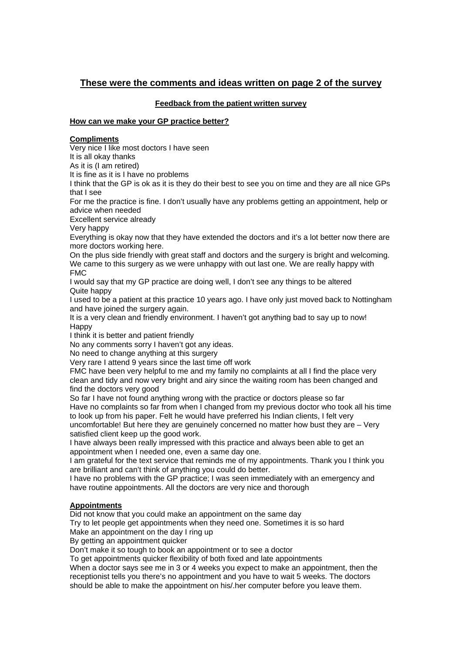### **These were the comments and ideas written on page 2 of the survey**

#### **Feedback from the patient written survey**

#### **How can we make your GP practice better?**

#### **Compliments**

Very nice I like most doctors I have seen

It is all okay thanks

As it is (I am retired)

It is fine as it is I have no problems

I think that the GP is ok as it is they do their best to see you on time and they are all nice GPs that I see

For me the practice is fine. I don't usually have any problems getting an appointment, help or advice when needed

Excellent service already

Very happy

Everything is okay now that they have extended the doctors and it's a lot better now there are more doctors working here.

On the plus side friendly with great staff and doctors and the surgery is bright and welcoming. We came to this surgery as we were unhappy with out last one. We are really happy with FMC

I would say that my GP practice are doing well, I don't see any things to be altered Quite happy

I used to be a patient at this practice 10 years ago. I have only just moved back to Nottingham and have joined the surgery again.

It is a very clean and friendly environment. I haven't got anything bad to say up to now! **Happy** 

I think it is better and patient friendly

No any comments sorry I haven't got any ideas.

No need to change anything at this surgery

Very rare I attend 9 years since the last time off work

FMC have been very helpful to me and my family no complaints at all I find the place very clean and tidy and now very bright and airy since the waiting room has been changed and find the doctors very good

So far I have not found anything wrong with the practice or doctors please so far Have no complaints so far from when I changed from my previous doctor who took all his time to look up from his paper. Felt he would have preferred his Indian clients, I felt very uncomfortable! But here they are genuinely concerned no matter how bust they are – Very

satisfied client keep up the good work. I have always been really impressed with this practice and always been able to get an appointment when I needed one, even a same day one.

I am grateful for the text service that reminds me of my appointments. Thank you I think you are brilliant and can't think of anything you could do better.

I have no problems with the GP practice; I was seen immediately with an emergency and have routine appointments. All the doctors are very nice and thorough

#### **Appointments**

Did not know that you could make an appointment on the same day

Try to let people get appointments when they need one. Sometimes it is so hard Make an appointment on the day I ring up

By getting an appointment quicker

Don't make it so tough to book an appointment or to see a doctor

To get appointments quicker flexibility of both fixed and late appointments

When a doctor says see me in 3 or 4 weeks you expect to make an appointment, then the receptionist tells you there's no appointment and you have to wait 5 weeks. The doctors should be able to make the appointment on his/.her computer before you leave them.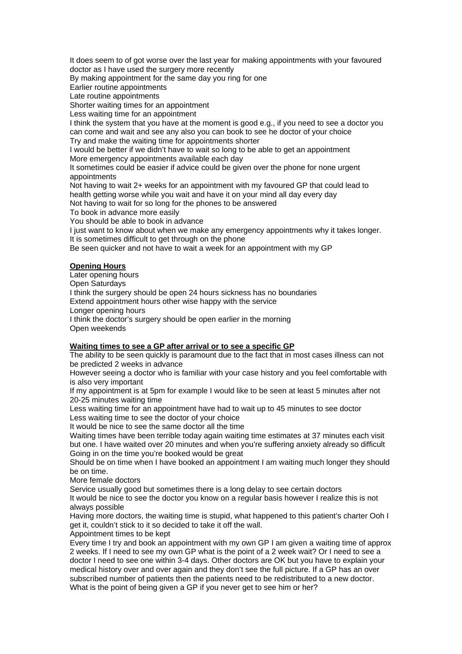It does seem to of got worse over the last year for making appointments with your favoured doctor as I have used the surgery more recently

By making appointment for the same day you ring for one

Earlier routine appointments

Late routine appointments

Shorter waiting times for an appointment

Less waiting time for an appointment

I think the system that you have at the moment is good e.g., if you need to see a doctor you can come and wait and see any also you can book to see he doctor of your choice Try and make the waiting time for appointments shorter

I would be better if we didn't have to wait so long to be able to get an appointment More emergency appointments available each day

It sometimes could be easier if advice could be given over the phone for none urgent appointments

Not having to wait 2+ weeks for an appointment with my favoured GP that could lead to health getting worse while you wait and have it on your mind all day every day

Not having to wait for so long for the phones to be answered

To book in advance more easily

You should be able to book in advance

I just want to know about when we make any emergency appointments why it takes longer. It is sometimes difficult to get through on the phone

Be seen quicker and not have to wait a week for an appointment with my GP

#### **Opening Hours**

Later opening hours Open Saturdays I think the surgery should be open 24 hours sickness has no boundaries Extend appointment hours other wise happy with the service Longer opening hours I think the doctor's surgery should be open earlier in the morning Open weekends

#### **Waiting times to see a GP after arrival or to see a specific GP**

The ability to be seen quickly is paramount due to the fact that in most cases illness can not be predicted 2 weeks in advance

However seeing a doctor who is familiar with your case history and you feel comfortable with is also very important

If my appointment is at 5pm for example I would like to be seen at least 5 minutes after not 20-25 minutes waiting time

Less waiting time for an appointment have had to wait up to 45 minutes to see doctor Less waiting time to see the doctor of your choice

It would be nice to see the same doctor all the time

Waiting times have been terrible today again waiting time estimates at 37 minutes each visit but one. I have waited over 20 minutes and when you're suffering anxiety already so difficult Going in on the time you're booked would be great

Should be on time when I have booked an appointment I am waiting much longer they should be on time.

More female doctors

Service usually good but sometimes there is a long delay to see certain doctors

It would be nice to see the doctor you know on a regular basis however I realize this is not always possible

Having more doctors, the waiting time is stupid, what happened to this patient's charter Ooh I get it, couldn't stick to it so decided to take it off the wall.

Appointment times to be kept

Every time I try and book an appointment with my own GP I am given a waiting time of approx 2 weeks. If I need to see my own GP what is the point of a 2 week wait? Or I need to see a doctor I need to see one within 3-4 days. Other doctors are OK but you have to explain your medical history over and over again and they don't see the full picture. If a GP has an over subscribed number of patients then the patients need to be redistributed to a new doctor. What is the point of being given a GP if you never get to see him or her?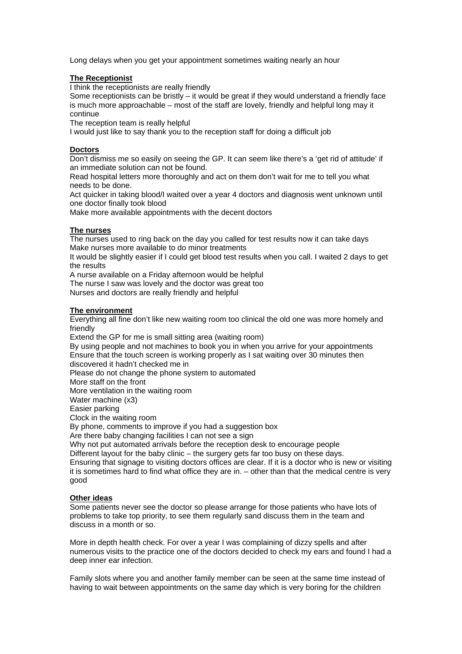Long delays when you get your appointment sometimes waiting nearly an hour

#### **The Receptionist**

I think the receptionists are really friendly

Some receptionists can be bristly – it would be great if they would understand a friendly face is much more approachable – most of the staff are lovely, friendly and helpful long may it continue

The reception team is really helpful

I would just like to say thank you to the reception staff for doing a difficult job

#### **Doctors**

Don't dismiss me so easily on seeing the GP. It can seem like there's a 'get rid of attitude' if an immediate solution can not be found.

Read hospital letters more thoroughly and act on them don't wait for me to tell you what needs to be done.

Act quicker in taking blood/I waited over a year 4 doctors and diagnosis went unknown until one doctor finally took blood

Make more available appointments with the decent doctors

#### **The nurses**

The nurses used to ring back on the day you called for test results now it can take days Make nurses more available to do minor treatments

It would be slightly easier if I could get blood test results when you call. I waited 2 days to get the results

A nurse available on a Friday afternoon would be helpful

The nurse I saw was lovely and the doctor was great too Nurses and doctors are really friendly and helpful

#### **The environment**

Everything all fine don't like new waiting room too clinical the old one was more homely and friendly

Extend the GP for me is small sitting area (waiting room)

By using people and not machines to book you in when you arrive for your appointments Ensure that the touch screen is working properly as I sat waiting over 30 minutes then discovered it hadn't checked me in

Please do not change the phone system to automated

More staff on the front

More ventilation in the waiting room

Water machine (x3)

Easier parking

Clock in the waiting room

By phone, comments to improve if you had a suggestion box

Are there baby changing facilities I can not see a sign

Why not put automated arrivals before the reception desk to encourage people

Different layout for the baby clinic – the surgery gets far too busy on these days.

Ensuring that signage to visiting doctors offices are clear. If it is a doctor who is new or visiting it is sometimes hard to find what office they are in. – other than that the medical centre is very good

#### **Other ideas**

Some patients never see the doctor so please arrange for those patients who have lots of problems to take top priority, to see them regularly sand discuss them in the team and discuss in a month or so.

More in depth health check. For over a year I was complaining of dizzy spells and after numerous visits to the practice one of the doctors decided to check my ears and found I had a deep inner ear infection.

Family slots where you and another family member can be seen at the same time instead of having to wait between appointments on the same day which is very boring for the children